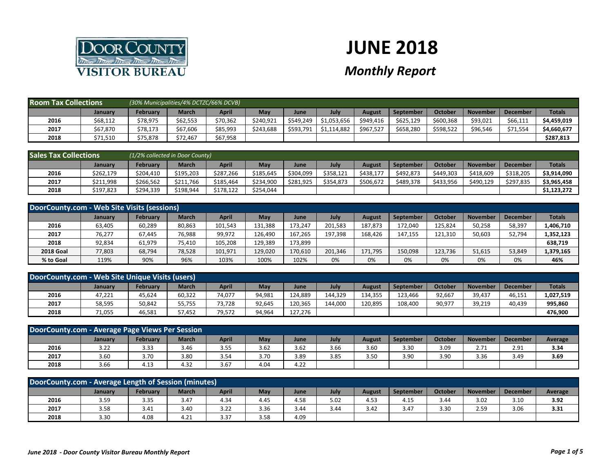

## **JUNE 2018**

## *Monthly Report*

| <b>Room Tax Collections</b> |                | (30% Municipalities/4% DCTZC/66% DCVB) |          |          |           |           |             |           |           |           |          |                 |               |
|-----------------------------|----------------|----------------------------------------|----------|----------|-----------|-----------|-------------|-----------|-----------|-----------|----------|-----------------|---------------|
|                             | <b>January</b> | Februarv                               | March    | April    | May       | June      | July        | August    | September | October   | November | <b>December</b> | <b>Totals</b> |
| 2016                        | \$68,112       | \$78,975                               | \$62,553 | \$70,362 | \$240.921 | \$549,249 | \$1,053,656 | \$949,416 | \$625,129 | \$600,368 | \$93,021 | \$66,111        | \$4,459,019   |
| 2017                        | \$67,870       | \$78,173                               | \$67,606 | \$85,993 | \$243.688 | \$593,791 | \$1,114,882 | \$967,527 | \$658,280 | \$598.522 | \$96,546 | \$71,554        | \$4,660,677   |
| 2018                        | \$71,510       | \$75,878                               | \$72,467 | \$67,958 |           |           |             |           |           |           |          |                 | \$287,813     |

| <b>Sales Tax Collections</b> |                | (1/2% collected in Door County) |           |           |           |           |           |           |                  |           |                 |                 |               |
|------------------------------|----------------|---------------------------------|-----------|-----------|-----------|-----------|-----------|-----------|------------------|-----------|-----------------|-----------------|---------------|
|                              | <b>January</b> | <b>February</b>                 | March     | April     | May       | June      | July      | August    | <b>September</b> | October   | <b>November</b> | <b>December</b> | <b>Totals</b> |
| 2016                         | \$262,179      | \$204.410                       | \$195.203 | \$287.266 | \$185.645 | \$304.099 | \$358.121 | S438.177  | \$492.873        | \$449.303 | \$418,609       | \$318,205       | \$3,914,090   |
| 2017                         | \$211,998      | \$266,562                       | \$211,766 | \$185,464 | \$234,900 | \$281,925 | \$354,873 | \$506,672 | \$489,378        | \$433,956 | \$490,129       | \$297,835       | \$3,965,458   |
| 2018                         | \$197,823      | \$294,339                       | \$198,944 | \$178,122 | \$254,044 |           |           |           |                  |           |                 |                 | \$1,123,272   |

| DoorCounty.com - Web Site Visits (sessions) |                |                 |              |         |         |         |         |         |                  |         |                 |                 |               |
|---------------------------------------------|----------------|-----------------|--------------|---------|---------|---------|---------|---------|------------------|---------|-----------------|-----------------|---------------|
|                                             | <b>January</b> | <b>February</b> | <b>March</b> | April   | May     | June    | July    | August  | <b>September</b> | October | <b>November</b> | <b>December</b> | <b>Totals</b> |
| 2016                                        | 63,405         | 60,289          | 80,863       | 101,543 | 131,388 | 173.247 | 201.583 | 187,873 | 172.040          | 125.824 | 50,258          | 58,397          | 1,406,710     |
| 2017                                        | 76,277         | 67.445          | 76,988       | 99,972  | 126.490 | 167.265 | 197.398 | 168.426 | 147,155          | 121.310 | 50,603          | 52,794          | 1,352,123     |
| 2018                                        | 92,834         | 61,979          | 75,410       | 105,208 | 129,389 | 173,899 |         |         |                  |         |                 |                 | 638,719       |
| <b>2018 Goal</b>                            | 77,803         | 68,794          | 78,528       | 101,971 | 129,020 | 170,610 | 201,346 | 171,795 | 150,098          | 123,736 | 51,615          | 53,849          | 1,379,165     |
| % to Goal                                   | 119%           | 90%             | 96%          | 103%    | 100%    | 102%    | 0%      | 0%      | 0%               | 0%      | 0%              | 0%              | 46%           |

| DoorCounty.com - Web Site Unique Visits (users) |         |          |              |              |        |         |         |         |                  |         |          |                 |               |
|-------------------------------------------------|---------|----------|--------------|--------------|--------|---------|---------|---------|------------------|---------|----------|-----------------|---------------|
|                                                 | Januarv | February | <b>March</b> | <b>April</b> | May    | June    | July    | August  | <b>September</b> | October | November | <b>December</b> | <b>Totals</b> |
| 2016                                            | 47,221  | 45,624   | 60,322       | 74,077       | 94,981 | 124,889 | 144.329 | 134,355 | 123,466          | 92,667  | 39,437   | 46,151          | 1,027,519     |
| 2017                                            | 58,595  | 50,842   | 55,755       | 73.728       | 92.645 | 120.365 | 144.000 | 120.895 | 108.400          | 90,977  | 39,219   | 40.439          | 995,860       |
| 2018                                            | 71,055  | 46,581   | 57,452       | 79,572       | 94,964 | 127.276 |         |         |                  |         |          |                 | 476,900       |

| DoorCounty.com - Average Page Views Per Session                                                                                      |      |      |      |      |      |      |      |      |      |      |      |      |         |
|--------------------------------------------------------------------------------------------------------------------------------------|------|------|------|------|------|------|------|------|------|------|------|------|---------|
| July<br><b>March</b><br>April<br>Februarv<br>May<br>October<br>November<br>September<br><b>December</b><br>August<br>January<br>June |      |      |      |      |      |      |      |      |      |      |      |      | Average |
| 2016                                                                                                                                 | 3.22 | 3.33 | 3.46 | 3.55 | 3.62 | 3.62 | 3.66 | 3.60 | 3.30 | 3.09 | 2.71 | 2.91 | 3.34    |
| 2017                                                                                                                                 | 3.60 | 3.70 | 3.80 | 3.54 | 3.70 | 3.89 | 3.85 | 3.50 | 3.90 | 3.90 | 3.36 | 3.49 | 3.69    |
| 2018                                                                                                                                 | 3.66 | 4.13 | 4.32 | 3.67 | 4.04 | 4.22 |      |      |      |      |      |      |         |

| DoorCounty.com - Average Length of Session (minutes)                                                                                                                        |      |      |      |      |      |      |      |      |      |      |      |      |      |
|-----------------------------------------------------------------------------------------------------------------------------------------------------------------------------|------|------|------|------|------|------|------|------|------|------|------|------|------|
| <b>February</b><br>July<br>October<br>May<br><b>March</b><br><b>April</b><br><b>September</b><br><b>November</b><br><b>December</b><br>Average<br>August<br>January<br>June |      |      |      |      |      |      |      |      |      |      |      |      |      |
| 2016                                                                                                                                                                        | 3.59 | 3.35 | 3.47 | 4.34 | 4.45 | 4.58 | 5.02 | 4.53 | 4.15 | 3.44 | 3.02 | 3.10 | 3.92 |
| 2017                                                                                                                                                                        | 3.58 | 3.41 | 3.40 | 3.22 | 3.36 | 3.44 | 3.44 | 3.42 | 3.47 | 3.30 | 2.59 | 3.06 | 3.31 |
| 2018                                                                                                                                                                        | 3.30 | 4.08 | 4.21 | 3.37 | 3.58 | 4.09 |      |      |      |      |      |      |      |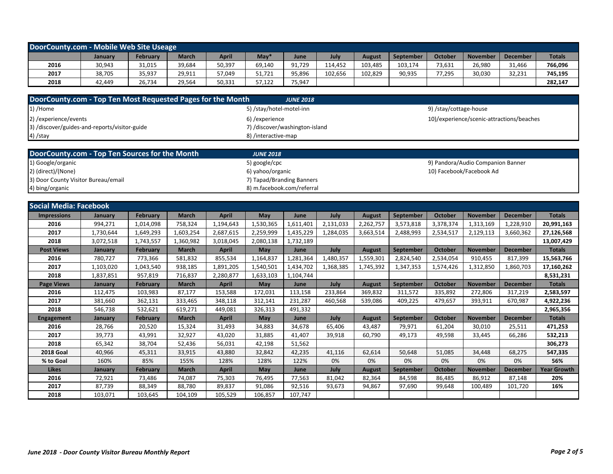| DoorCounty.com - Mobile Web Site Useage |         |          |              |              |        |             |         |               |                  |         |                 |                 |               |
|-----------------------------------------|---------|----------|--------------|--------------|--------|-------------|---------|---------------|------------------|---------|-----------------|-----------------|---------------|
|                                         | January | February | <b>March</b> | <b>April</b> | May    | <b>June</b> | July    | <b>August</b> | <b>September</b> | October | <b>November</b> | <b>December</b> | <b>Totals</b> |
| 2016                                    | 30,943  | 31,015   | 39,684       | 50,397       | 69.140 | 91,729      | 114.452 | 103.485       | 103.174          | 73,631  | 26,980          | 31,466          | 766,096       |
| 2017                                    | 38,705  | 35,937   | 29,911       | 57,049       | 51.721 | 95,896      | 102,656 | 102,829       | 90,935           | 77,295  | 30,030          | 32,231          | 745,195       |
| 2018                                    | 42.449  | 26,734   | 29,564       | 50,331       | 57,122 | 75,947      |         |               |                  |         |                 |                 | 282,147       |

| DoorCounty.com - Top Ten Most Requested Pages for the Month | <b>JUNE 2018</b>               |                                           |
|-------------------------------------------------------------|--------------------------------|-------------------------------------------|
| 1) /Home                                                    | 5) /stay/hotel-motel-inn       | 9) /stay/cottage-house                    |
| 2) / experience/events                                      | 6) /experience                 | 10)/experience/scenic-attractions/beaches |
| 3) /discover/guides-and-reports/visitor-guide               | 7) /discover/washington-island |                                           |
| $(4)$ /stay                                                 | 8) /interactive-map            |                                           |
|                                                             |                                |                                           |
| DoorCounty.com - Top Ten Sources for the Month              | <b>JUNE 2018</b>               |                                           |
|                                                             |                                |                                           |

| 1) Google/organic                   | 5) google/cpc              | 9) Pandora/Audio Companion Banner |
|-------------------------------------|----------------------------|-----------------------------------|
| 2) (direct)/(None)                  | 6) vahoo/organic           | 10) Facebook/Facebook Ad          |
| 3) Door County Visitor Bureau/email | 7) Tapad/Branding Banners  |                                   |
| 4) bing/organic                     | 8) m.facebook.com/referral |                                   |

| <b>Social Media: Facebook</b> |                |                 |              |              |           |           |           |               |                  |                |                 |                 |                    |
|-------------------------------|----------------|-----------------|--------------|--------------|-----------|-----------|-----------|---------------|------------------|----------------|-----------------|-----------------|--------------------|
| <b>Impressions</b>            | <b>January</b> | February        | <b>March</b> | <b>April</b> | May       | June      | July      | <b>August</b> | <b>September</b> | <b>October</b> | <b>November</b> | <b>December</b> | <b>Totals</b>      |
| 2016                          | 994,271        | 1,014,098       | 758,324      | 1,194,643    | 1,530,365 | 1,611,401 | 2,131,033 | 2,262,757     | 3,573,818        | 3,378,374      | 1,313,169       | 1,228,910       | 20,991,163         |
| 2017                          | 1,730,644      | 1,649,293       | 1,603,254    | 2,687,615    | 2,259,999 | 1,435,229 | 1,284,035 | 3,663,514     | 2,488,993        | 2,534,517      | 2,129,113       | 3,660,362       | 27,126,568         |
| 2018                          | 3,072,518      | 1,743,557       | 1,360,982    | 3,018,045    | 2,080,138 | 1,732,189 |           |               |                  |                |                 |                 | 13,007,429         |
| <b>Post Views</b>             | <b>January</b> | February        | <b>March</b> | April        | May       | June      | July      | <b>August</b> | September        | October        | <b>November</b> | <b>December</b> | <b>Totals</b>      |
| 2016                          | 780,727        | 773,366         | 581,832      | 855,534      | 1,164,837 | 1,281,364 | 1,480,357 | 1,559,301     | 2,824,540        | 2,534,054      | 910,455         | 817,399         | 15,563,766         |
| 2017                          | 1,103,020      | 1,043,540       | 938,185      | 1,891,205    | 1,540,501 | 1,434,702 | 1,368,385 | 1,745,392     | 1,347,353        | 1,574,426      | 1,312,850       | 1,860,703       | 17,160,262         |
| 2018                          | 1,837,851      | 957,819         | 716,837      | 2,280,877    | 1,633,103 | 1,104,744 |           |               |                  |                |                 |                 | 8,531,231          |
| <b>Page Views</b>             | <b>January</b> | <b>February</b> | <b>March</b> | <b>April</b> | May       | June      | July      | <b>August</b> | September        | <b>October</b> | <b>November</b> | <b>December</b> | <b>Totals</b>      |
| 2016                          | 112,475        | 103,983         | 87,177       | 153,588      | 172,031   | 113,158   | 233,864   | 369,832       | 311,572          | 335,892        | 272,806         | 317,219         | 2,583,597          |
| 2017                          | 381,660        | 362,131         | 333,465      | 348,118      | 312,141   | 231,287   | 460,568   | 539,086       | 409,225          | 479,657        | 393,911         | 670,987         | 4,922,236          |
| 2018                          | 546,738        | 532,621         | 619,271      | 449,081      | 326,313   | 491,332   |           |               |                  |                |                 |                 | 2,965,356          |
| <b>Engagement</b>             | January        | <b>February</b> | <b>March</b> | <b>April</b> | May       | June      | July      | <b>August</b> | September        | <b>October</b> | <b>November</b> | <b>December</b> | <b>Totals</b>      |
| 2016                          | 28,766         | 20,520          | 15,324       | 31,493       | 34,883    | 34,678    | 65,406    | 43,487        | 79,971           | 61,204         | 30,010          | 25,511          | 471,253            |
| 2017                          | 39,773         | 43,991          | 32,927       | 43,020       | 31,885    | 41,407    | 39,918    | 60,790        | 49,173           | 49,598         | 33,445          | 66,286          | 532,213            |
| 2018                          | 65,342         | 38,704          | 52,436       | 56,031       | 42,198    | 51,562    |           |               |                  |                |                 |                 | 306,273            |
| <b>2018 Goal</b>              | 40,966         | 45,311          | 33,915       | 43,880       | 32,842    | 42,235    | 41,116    | 62,614        | 50,648           | 51,085         | 34,448          | 68,275          | 547,335            |
| % to Goal                     | 160%           | 85%             | 155%         | 128%         | 128%      | 122%      | 0%        | 0%            | 0%               | 0%             | 0%              | 0%              | 56%                |
| <b>Likes</b>                  | January        | February        | <b>March</b> | <b>April</b> | May       | June      | July      | <b>August</b> | September        | <b>October</b> | <b>November</b> | <b>December</b> | <b>Year Growth</b> |
| 2016                          | 72,921         | 73,486          | 74,087       | 75,303       | 76,495    | 77,563    | 81,042    | 82,364        | 84,598           | 86,485         | 86,912          | 87,148          | 20%                |
| 2017                          | 87,739         | 88,349          | 88,780       | 89,837       | 91,086    | 92,516    | 93,673    | 94,867        | 97,690           | 99,648         | 100,489         | 101,720         | 16%                |
| 2018                          | 103,071        | 103,645         | 104,109      | 105,529      | 106,857   | 107,747   |           |               |                  |                |                 |                 |                    |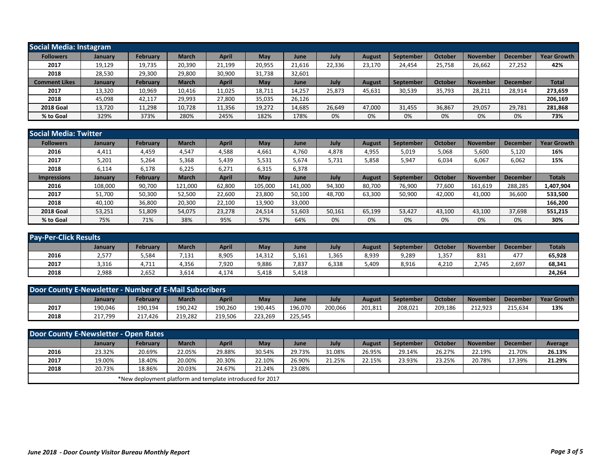| Social Media: Instagram |                |          |              |              |        |             |        |        |                  |         |                 |                 |                    |
|-------------------------|----------------|----------|--------------|--------------|--------|-------------|--------|--------|------------------|---------|-----------------|-----------------|--------------------|
| <b>Followers</b>        | <b>January</b> | February | <b>March</b> | <b>April</b> | May    | June        | July   | August | September        | October | <b>November</b> | <b>December</b> | <b>Year Growth</b> |
| 2017                    | 19,129         | 19,735   | 20,390       | 21,199       | 20,955 | 21,616      | 22,336 | 23,170 | 24,454           | 25,758  | 26,662          | 27,252          | 42%                |
| 2018                    | 28,530         | 29,300   | 29,800       | 30,900       | 31,738 | 32,601      |        |        |                  |         |                 |                 |                    |
| <b>Comment Likes</b>    | <b>January</b> | February | <b>March</b> | <b>April</b> | May    | <b>June</b> | July   | August | <b>September</b> | October | <b>November</b> | <b>December</b> | <b>Total</b>       |
| 2017                    | 13,320         | 10,969   | 10,416       | 11,025       | 18,711 | 14,257      | 25,873 | 45,631 | 30,539           | 35,793  | 28,211          | 28,914          | 273,659            |
| 2018                    | 45,098         | 42,117   | 29,993       | 27,800       | 35,035 | 26,126      |        |        |                  |         |                 |                 | 206,169            |
| <b>2018 Goal</b>        | 13,720         | 11,298   | 10,728       | 11,356       | 19,272 | 14,685      | 26,649 | 47,000 | 31,455           | 36,867  | 29,057          | 29,781          | 281,868            |
| % to Goal               | 329%           | 373%     | 280%         | 245%         | 182%   | 178%        | 0%     | 0%     | 0%               | 0%      | 0%              | 0%              | 73%                |

|                    | Social Media: Twitter |                 |              |              |         |         |        |        |                  |         |                 |                 |                    |  |
|--------------------|-----------------------|-----------------|--------------|--------------|---------|---------|--------|--------|------------------|---------|-----------------|-----------------|--------------------|--|
| <b>Followers</b>   | <b>January</b>        | <b>February</b> | <b>March</b> | <b>April</b> | May     | June    | July   | August | <b>September</b> | October | <b>November</b> | <b>Decembe</b>  | <b>Year Growth</b> |  |
| 2016               | 4,411                 | 4,459           | 4,547        | 4,588        | 4,661   | 4,760   | 4,878  | 4,955  | 5,019            | 5,068   | 5,600           | 5,120           | 16%                |  |
| 2017               | 5,201                 | 5,264           | 5,368        | 5,439        | 5,531   | 5,674   | 5,731  | 5,858  | 5,947            | 6,034   | 6,067           | 6,062           | 15%                |  |
| 2018               | 6,114                 | 6,178           | 6,225        | 6,271        | 6,315   | 6,378   |        |        |                  |         |                 |                 |                    |  |
| <b>Impressions</b> | <b>January</b>        | <b>February</b> | March        | <b>April</b> | May     | June    | July   | August | <b>September</b> | October | <b>November</b> | <b>December</b> | <b>Totals</b>      |  |
| 2016               | 108,000               | 90,700          | 121,000      | 62,800       | 105,000 | 141,000 | 94,300 | 80,700 | 76,900           | 77,600  | 161,619         | 288,285         | 1,407,904          |  |
| 2017               | 51,700                | 50,300          | 52,500       | 22,600       | 23,800  | 50,100  | 48,700 | 63,300 | 50,900           | 42,000  | 41,000          | 36,600          | 533,500            |  |
| 2018               | 40,100                | 36,800          | 20,300       | 22,100       | 13,900  | 33,000  |        |        |                  |         |                 |                 | 166,200            |  |
| <b>2018 Goal</b>   | 53,251                | 51,809          | 54,075       | 23,278       | 24,514  | 51,603  | 50,161 | 65,199 | 53,427           | 43,100  | 43,100          | 37,698          | 551,215            |  |
| % to Goal          | 75%                   | 71%             | 38%          | 95%          | 57%     | 64%     | 0%     | 0%     | 0%               | 0%      | 0%              | 0%              | 30%                |  |

| <b>Pay-Per-Click Results</b> |         |          |              |              |        |       |       |        |           |         |                 |                 |               |
|------------------------------|---------|----------|--------------|--------------|--------|-------|-------|--------|-----------|---------|-----------------|-----------------|---------------|
|                              | January | February | <b>March</b> | <b>April</b> | May    | June  | July  | August | September | October | <b>November</b> | <b>December</b> | <b>Totals</b> |
| 2016                         | 2,577   | 5,584    | 7,131        | 8,905        | 14,312 | 5,161 | 1,365 | 8,939  | 9,289     | 1,357   | 831             | 477             | 65,928        |
| 2017                         | 3,316   | 4,711    | 4,356        | 7,920        | 9,886  | 7,837 | 6,338 | 5,409  | 8,916     | 4,210   | 2.745           | 2,697           | 68,341        |
| 2018                         | 2,988   | 2,652    | 3,614        | 4,174        | 5,418  | 5,418 |       |        |           |         |                 |                 | 24,264        |

| Door County E-Newsletter - Number of E-Mail Subscribers |         |                 |              |             |         |         |         |        |           |         |                 |                 |                    |
|---------------------------------------------------------|---------|-----------------|--------------|-------------|---------|---------|---------|--------|-----------|---------|-----------------|-----------------|--------------------|
|                                                         | Januarv | <b>February</b> | <b>March</b> | <b>Apri</b> | May     | June    | July    | August | September | October | <b>November</b> | <b>December</b> | <b>Year Growth</b> |
| 2017                                                    | 190,046 | 190,194         | 190,242      | 190,260     | 190.445 | 196,070 | 200,066 | 201,81 | 208,021   | 209,186 | 212,923         | 215.634         | 13%                |
| 2018                                                    | 217,799 | 217.426         | 219,282      | 219,506     | 223.269 | 225,545 |         |        |           |         |                 |                 |                    |

| Door County E-Newsletter - Open Rates |                |                                                           |              |        |        |        |        |               |           |         |          |                 |         |
|---------------------------------------|----------------|-----------------------------------------------------------|--------------|--------|--------|--------|--------|---------------|-----------|---------|----------|-----------------|---------|
|                                       | <b>January</b> | <b>February</b>                                           | <b>March</b> | April  | May    | June   | July   | <b>August</b> | September | October | November | <b>December</b> | Average |
| 2016                                  | 23.32%         | 20.69%                                                    | 22.05%       | 29.88% | 30.54% | 29.73% | 31.08% | 26.95%        | 29.14%    | 26.27%  | 22.19%   | 21.70%          | 26.13%  |
| 2017                                  | 19.00%         | 18.40%                                                    | 20.00%       | 20.30% | 22.10% | 26.90% | 21.25% | 22.15%        | 23.93%    | 23.25%  | 20.78%   | 17.39%          | 21.29%  |
| 2018                                  | 20.73%         | 18.86%                                                    | 20.03%       | 24.67% | 21.24% | 23.08% |        |               |           |         |          |                 |         |
|                                       |                | *New deployment platform and template introduced for 2017 |              |        |        |        |        |               |           |         |          |                 |         |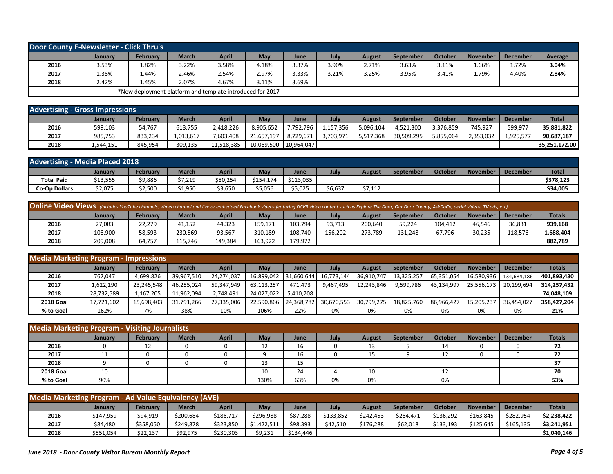| Door County E-Newsletter - Click Thru's |                |                                                           |       |       |       |       |       |               |                  |         |                 |                 |         |
|-----------------------------------------|----------------|-----------------------------------------------------------|-------|-------|-------|-------|-------|---------------|------------------|---------|-----------------|-----------------|---------|
|                                         | <b>January</b> | February                                                  | March | April | May   | June  | July  | <b>August</b> | <b>September</b> | October | <b>November</b> | <b>December</b> | Average |
| 2016                                    | 3.53%          | 1.82%                                                     | 3.22% | 3.58% | 4.18% | 3.37% | 3.90% | 2.71%         | 3.63%            | 3.11%   | 1.66%           | 1.72%           | 3.04%   |
| 2017                                    | 1.38%          | 1.44%                                                     | 2.46% | 2.54% | 2.97% | 3.33% | 3.21% | 3.25%         | 3.95%            | 3.41%   | 79%.            | 4.40%           | 2.84%   |
| 2018                                    | 2.42%          | 4.45%                                                     | 2.07% | 4.67% | 3.11% | 3.69% |       |               |                  |         |                 |                 |         |
|                                         |                | *New deployment platform and template introduced for 2017 |       |       |       |       |       |               |                  |         |                 |                 |         |

| <b>Advertising - Gross Impressions</b> |           |                 |              |            |            |            |           |           |                  |           |                 |                 |                        |
|----------------------------------------|-----------|-----------------|--------------|------------|------------|------------|-----------|-----------|------------------|-----------|-----------------|-----------------|------------------------|
|                                        | January   | <b>February</b> | <b>March</b> | April      | May        | June       | July      | August    | <b>September</b> | October   | <b>November</b> | <b>December</b> | <b>Total</b>           |
| 2016                                   | 599,103   | 54.767          | 613,755      | 2.418.226  | 3.905.652  | 7,792,796  | 157.356   | 5,096,104 | 4.521.300        | 3.376.859 | 745,927         | 599.977         | 35,881,822             |
| 2017                                   | 985,753   | 833.234         | 1,013,617    | 7.603.408  | 21.657.197 | 8,729,671  | 3,703,971 | 5,517,368 | 30.509.295       | 5,855,064 | 2,353,032       | 1,925,577       | 90,687,187             |
| 2018                                   | 1,544,151 | 845,954         | 309,135      | 11.518.385 | 10,069,500 | 10,964,047 |           |           |                  |           |                 |                 | 35.251.172.00 <b> </b> |

| <b>Advertising - Media Placed 2018</b> |          |          |         |          |           |           |         |                  |           |         |          |                 |              |
|----------------------------------------|----------|----------|---------|----------|-----------|-----------|---------|------------------|-----------|---------|----------|-----------------|--------------|
|                                        | January  | Februarv | March   | April    | May       | June      | Juh     | August           | September | Octobe. | November | <b>December</b> | <b>Total</b> |
| <b>Total Paid</b>                      | \$13,555 | \$9,886  | \$7,219 | \$80,254 | \$154,174 | \$113,035 |         |                  |           |         |          |                 | \$378.123    |
| <b>Co-Op Dollars</b>                   | \$2,075  | \$2,500  | 51,950  | \$3,650  | \$5,056   | \$5,025   | \$6,637 | ¢7 11'<br>21.114 |           |         |          |                 | \$34,005     |

| <b>Online Video Views</b> (includes YouTube channels, Vimeo channel and live or embedded Facebook videos featuring DCVB video content such as Explore The Door, Our Door County, AskDoCo, aerial videos, TV ads, etc) |         |                 |              |         |         |         |         |         |           |         |          |                 |               |
|-----------------------------------------------------------------------------------------------------------------------------------------------------------------------------------------------------------------------|---------|-----------------|--------------|---------|---------|---------|---------|---------|-----------|---------|----------|-----------------|---------------|
|                                                                                                                                                                                                                       | January | <b>February</b> | <b>March</b> | April   | May     | June    | July    | August  | September | October | November | <b>December</b> | <b>Totals</b> |
| 2016                                                                                                                                                                                                                  | 27.083  | 22.279          | 41.152       | 44.323  | 159.171 | 103.794 | 93.713  | 200,640 | 59.224    | 104.412 | 46.546   | 36,831          | 939,168       |
| 2017                                                                                                                                                                                                                  | 108,900 | 58,593          | 230,569      | 93,567  | 310,189 | 108.740 | 156.202 | 273,789 | 131.248   | 67,796  | 30,235   | 118,576         | 1,688,404     |
| 2018                                                                                                                                                                                                                  | 209.008 | 64.757          | 115.746      | 149.384 | 163.922 | 179.972 |         |         |           |         |          |                 | 882,789       |

| <b>Media Marketing Program - Impressions</b> |                |                 |              |            |            |            |            |               |            |            |                 |                 |               |
|----------------------------------------------|----------------|-----------------|--------------|------------|------------|------------|------------|---------------|------------|------------|-----------------|-----------------|---------------|
|                                              | <b>January</b> | <b>February</b> | <b>March</b> | April      | Mav        | June       | July       | <b>August</b> | September  | October    | <b>November</b> | <b>December</b> | <b>Totals</b> |
| 2016                                         | 767,047        | 4,699,826       | 39,967,510   | 24,274,037 | 16.899.042 | 31.660.644 | 16,773,144 | 36,910,747    | 13,325,257 | 65,351,054 | 16,580,936      | 134.684.186     | 401,893,430   |
| 2017                                         | 1,622,190      | 23,245,548      | 46,255,024   | 59,347,949 | 63,113,257 | 471,473    | 9.467.495  | 12,243,846    | 9,599,786  | 43,134,997 | 25,556,173      | 20,199,694      | 314,257,432   |
| 2018                                         | 28,732,589     | 1,167,205       | 11,962,094   | 2,748,491  | 24,027,022 | 5.410.708  |            |               |            |            |                 |                 | 74,048,109    |
| <b>2018 Goal</b>                             | 17,721,602     | 15,698,403      | 31,791,266   | 27,335,006 | 22,590,866 | 24,368,782 | 30,670,553 | 30,799,275    | 18,825,760 | 86,966,427 | 15,205,237      | 36,454,027      | 358,427,204   |
| % to Goal                                    | 162%           | 7%              | 38%          | 10%        | 106%       | 22%        | 0%         | 0%            | 0%         | 0%         | 0%              | 0%              | 21%           |

| Media Marketing Program - Visiting Journalists |         |                 |              |              |      |         |      |               |           |         |                 |                 |               |
|------------------------------------------------|---------|-----------------|--------------|--------------|------|---------|------|---------------|-----------|---------|-----------------|-----------------|---------------|
|                                                | January | <b>February</b> | <b>March</b> | <b>April</b> | May  | June    | July | <b>August</b> | September | October | <b>November</b> | <b>December</b> | <b>Totals</b> |
| 2016                                           |         | ∸∸              |              |              | ᆠ    | 16      |      | 13            |           | 14      |                 |                 | 72            |
| 2017                                           |         |                 |              |              |      | 16      |      | 15            |           | 12      |                 |                 | 72            |
| 2018                                           |         |                 |              |              | 13   | 15<br>ᅩ |      |               |           |         |                 |                 | 37            |
| <b>2018 Goal</b>                               | 10      |                 |              |              | 10   | 24      |      | 10            |           | 12      |                 |                 | 70            |
| % to Goal                                      | 90%     |                 |              |              | 130% | 63%     | 0%   | 0%            |           | 0%      |                 |                 | 53%           |

| <b>Media Marketing Program - Ad Value Equivalency (AVE)</b> |           |                 |              |              |             |           |           |           |           |           |                 |           |               |
|-------------------------------------------------------------|-----------|-----------------|--------------|--------------|-------------|-----------|-----------|-----------|-----------|-----------|-----------------|-----------|---------------|
|                                                             | January   | <b>February</b> | <b>March</b> | <b>April</b> | May         | June      | July      | August    | September | October   | <b>November</b> | December  | <b>Totals</b> |
| 2016                                                        | \$147,959 | \$94,919        | \$200,684    | \$186,717    | \$296,988   | \$87,288  | \$133,852 | \$242.453 | \$264.471 | \$136.292 | \$163,845       | \$282,954 | \$2,238,422   |
| 2017                                                        | \$84,480  | \$358,050       | \$249,878    | \$323,850    | \$1,422,511 | \$98,393  | \$42.510  | \$176,288 | \$62,018  | \$133.193 | \$125.645       | \$165,135 | \$3,241,951   |
| 2018                                                        | \$551,054 | \$22,137        | \$92,975     | \$230,303    | \$9,231     | \$134,446 |           |           |           |           |                 |           | \$1,040,146   |